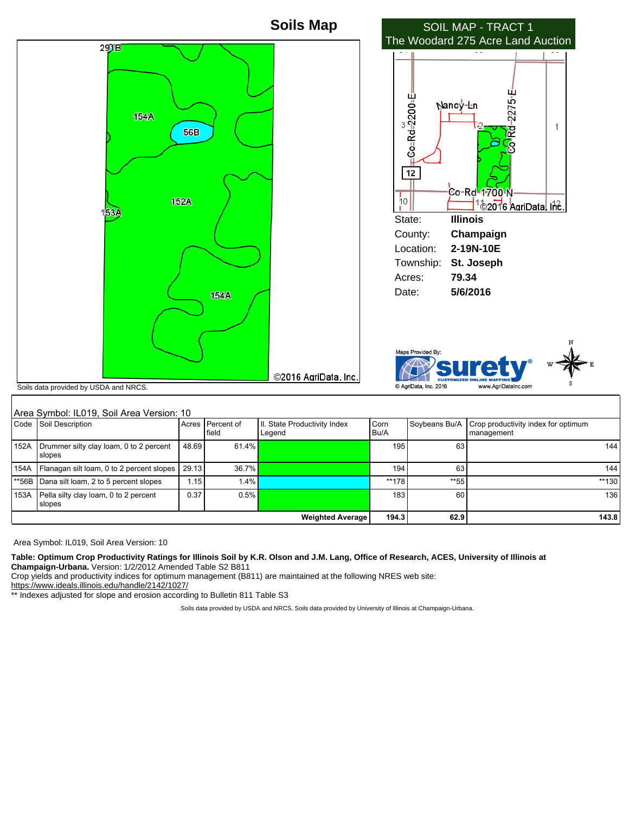

## Area Symbol: IL019, Soil Area Version: 10<br>Code Soil Description (Acres Soil Description Acres Percent of field Il. State Productivity Index Legend Corn Bu/A Soybeans Bu/A Crop productivity index for optimum management 152A Drummer silty clay loam, 0 to 2 percent slopes 48.69 61.4% 195 63 144 154A Flanagan silt loam, 0 to 2 percent slopes 29.13 36.7% **195 195 196 196 196 196 196 196 196 196 1**44 **194** 194 **194** \*\*56B Dana silt loam, 2 to 5 percent slopes 1.15 1.4% 1.4% 1.4% \*\*\* 178 \*\*\* 178 \*\*\* 55 \*\*\* 130 153A Pella silty clay loam, 0 to 2 percent slopes 0.37 | 0.5% | 0.5% | 183 | 0.37 | 183 | 183 | 136 **Weighted Average 194.3 62.9 143.8**

Area Symbol: IL019, Soil Area Version: 10

**Table: Optimum Crop Productivity Ratings for Illinois Soil by K.R. Olson and J.M. Lang, Office of Research, ACES, University of Illinois at Champaign-Urbana.** Version: 1/2/2012 Amended Table S2 B811

Crop yields and productivity indices for optimum management (B811) are maintained at the following NRES web site: https://www.ideals.illinois.edu/handle/2142/1027/

\*\* Indexes adjusted for slope and erosion according to Bulletin 811 Table S3

Soils data provided by USDA and NRCS. Soils data provided by University of Illinois at Champaign-Urbana.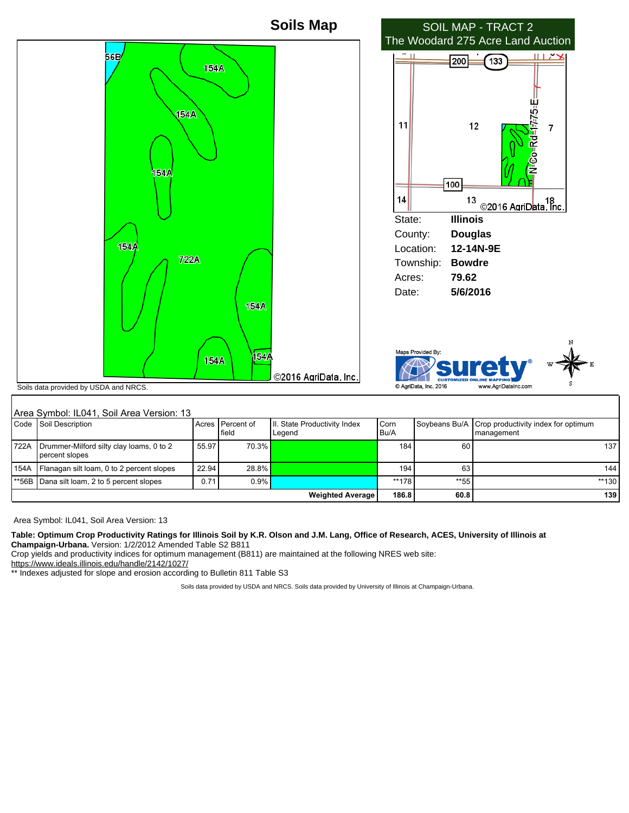

## Area Symbol: IL041, Soil Area Version: 13

|       | TATE 8 SYMBOL ILU4 F. SOII ATE 8 VEISION. T3               |                                  |                            |                                         |                |      |                                                                     |  |  |
|-------|------------------------------------------------------------|----------------------------------|----------------------------|-----------------------------------------|----------------|------|---------------------------------------------------------------------|--|--|
|       | Code Soil Description                                      |                                  | Acres IPercent of<br>field | III. State Productivity Index<br>Legend | Corn<br>l Bu/A |      | Soybeans Bu/A   Crop productivity index for optimum<br>I management |  |  |
| 1722A | Drummer-Milford silty clay loams, 0 to 2<br>percent slopes | 55.97                            | 70.3%                      |                                         | 184            | 60   | 137                                                                 |  |  |
|       | 154A   Flanagan silt loam, 0 to 2 percent slopes           | 22.94                            | 28.8%                      |                                         | 194            | 63   | 144                                                                 |  |  |
|       | 1**56B   Dana silt loam, 2 to 5 percent slopes             | 0.71                             | 0.9%                       |                                         | **178          | **55 | $**130$                                                             |  |  |
|       |                                                            | 186.8<br><b>Weighted Average</b> | 60.8                       | 139                                     |                |      |                                                                     |  |  |

Area Symbol: IL041, Soil Area Version: 13

## **Table: Optimum Crop Productivity Ratings for Illinois Soil by K.R. Olson and J.M. Lang, Office of Research, ACES, University of Illinois at**

**Champaign-Urbana.** Version: 1/2/2012 Amended Table S2 B811

Crop yields and productivity indices for optimum management (B811) are maintained at the following NRES web site:

https://www.ideals.illinois.edu/handle/2142/1027/

\*\* Indexes adjusted for slope and erosion according to Bulletin 811 Table S3

Soils data provided by USDA and NRCS. Soils data provided by University of Illinois at Champaign-Urbana.